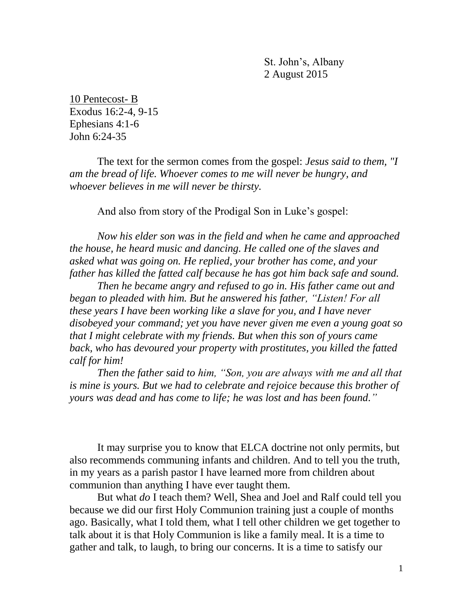St. John's, Albany 2 August 2015

10 Pentecost- B Exodus 16:2-4, 9-15 Ephesians 4:1-6 John 6:24-35

The text for the sermon comes from the gospel: *Jesus said to them, "I am the bread of life. Whoever comes to me will never be hungry, and whoever believes in me will never be thirsty.*

And also from story of the Prodigal Son in Luke's gospel:

*Now his elder son was in the field and when he came and approached the house, he heard music and dancing. He called one of the slaves and asked what was going on. He replied, your brother has come, and your father has killed the fatted calf because he has got him back safe and sound.* 

*Then he became angry and refused to go in. His father came out and began to pleaded with him. But he answered his father, "Listen! For all these years I have been working like a slave for you, and I have never disobeyed your command; yet you have never given me even a young goat so that I might celebrate with my friends. But when this son of yours came*  back, who has devoured your property with prostitutes, you killed the fatted *calf for him!*

*Then the father said to him, "Son, you are always with me and all that is mine is yours. But we had to celebrate and rejoice because this brother of yours was dead and has come to life; he was lost and has been found."*

It may surprise you to know that ELCA doctrine not only permits, but also recommends communing infants and children. And to tell you the truth, in my years as a parish pastor I have learned more from children about communion than anything I have ever taught them.

But what *do* I teach them? Well, Shea and Joel and Ralf could tell you because we did our first Holy Communion training just a couple of months ago. Basically, what I told them, what I tell other children we get together to talk about it is that Holy Communion is like a family meal. It is a time to gather and talk, to laugh, to bring our concerns. It is a time to satisfy our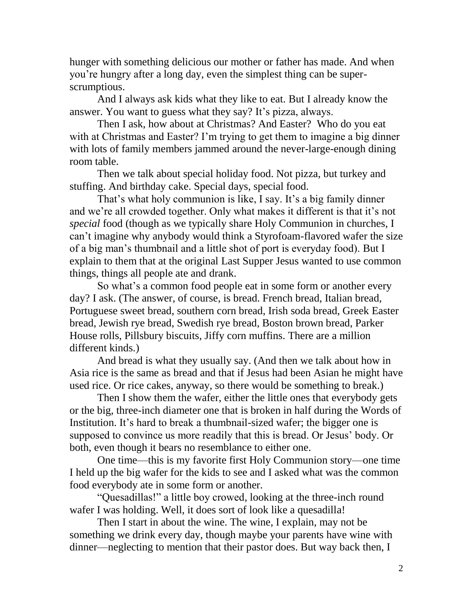hunger with something delicious our mother or father has made. And when you're hungry after a long day, even the simplest thing can be superscrumptious.

And I always ask kids what they like to eat. But I already know the answer. You want to guess what they say? It's pizza, always.

Then I ask, how about at Christmas? And Easter? Who do you eat with at Christmas and Easter? I'm trying to get them to imagine a big dinner with lots of family members jammed around the never-large-enough dining room table.

Then we talk about special holiday food. Not pizza, but turkey and stuffing. And birthday cake. Special days, special food.

That's what holy communion is like, I say. It's a big family dinner and we're all crowded together. Only what makes it different is that it's not *special* food (though as we typically share Holy Communion in churches, I can't imagine why anybody would think a Styrofoam-flavored wafer the size of a big man's thumbnail and a little shot of port is everyday food). But I explain to them that at the original Last Supper Jesus wanted to use common things, things all people ate and drank.

So what's a common food people eat in some form or another every day? I ask. (The answer, of course, is bread. French bread, Italian bread, Portuguese sweet bread, southern corn bread, Irish soda bread, Greek Easter bread, Jewish rye bread, Swedish rye bread, Boston brown bread, Parker House rolls, Pillsbury biscuits, Jiffy corn muffins. There are a million different kinds.)

And bread is what they usually say. (And then we talk about how in Asia rice is the same as bread and that if Jesus had been Asian he might have used rice. Or rice cakes, anyway, so there would be something to break.)

Then I show them the wafer, either the little ones that everybody gets or the big, three-inch diameter one that is broken in half during the Words of Institution. It's hard to break a thumbnail-sized wafer; the bigger one is supposed to convince us more readily that this is bread. Or Jesus' body. Or both, even though it bears no resemblance to either one.

One time—this is my favorite first Holy Communion story—one time I held up the big wafer for the kids to see and I asked what was the common food everybody ate in some form or another.

"Quesadillas!" a little boy crowed, looking at the three-inch round wafer I was holding. Well, it does sort of look like a quesadilla!

Then I start in about the wine. The wine, I explain, may not be something we drink every day, though maybe your parents have wine with dinner—neglecting to mention that their pastor does. But way back then, I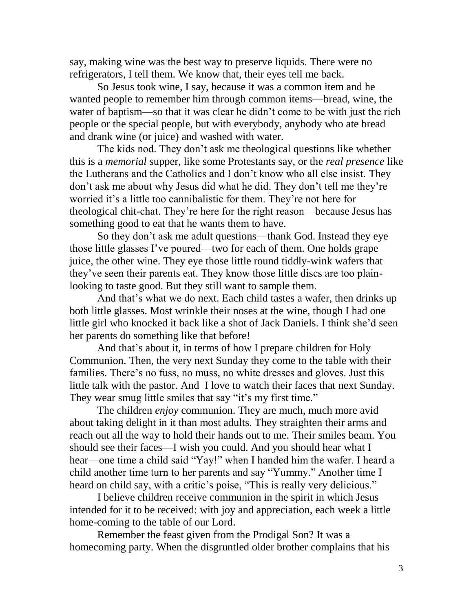say, making wine was the best way to preserve liquids. There were no refrigerators, I tell them. We know that, their eyes tell me back.

So Jesus took wine, I say, because it was a common item and he wanted people to remember him through common items—bread, wine, the water of baptism—so that it was clear he didn't come to be with just the rich people or the special people, but with everybody, anybody who ate bread and drank wine (or juice) and washed with water.

The kids nod. They don't ask me theological questions like whether this is a *memorial* supper, like some Protestants say, or the *real presence* like the Lutherans and the Catholics and I don't know who all else insist. They don't ask me about why Jesus did what he did. They don't tell me they're worried it's a little too cannibalistic for them. They're not here for theological chit-chat. They're here for the right reason—because Jesus has something good to eat that he wants them to have.

So they don't ask me adult questions—thank God. Instead they eye those little glasses I've poured—two for each of them. One holds grape juice, the other wine. They eye those little round tiddly-wink wafers that they've seen their parents eat. They know those little discs are too plainlooking to taste good. But they still want to sample them.

And that's what we do next. Each child tastes a wafer, then drinks up both little glasses. Most wrinkle their noses at the wine, though I had one little girl who knocked it back like a shot of Jack Daniels. I think she'd seen her parents do something like that before!

And that's about it, in terms of how I prepare children for Holy Communion. Then, the very next Sunday they come to the table with their families. There's no fuss, no muss, no white dresses and gloves. Just this little talk with the pastor. And I love to watch their faces that next Sunday. They wear smug little smiles that say "it's my first time."

The children *enjoy* communion. They are much, much more avid about taking delight in it than most adults. They straighten their arms and reach out all the way to hold their hands out to me. Their smiles beam. You should see their faces—I wish you could. And you should hear what I hear—one time a child said "Yay!" when I handed him the wafer. I heard a child another time turn to her parents and say "Yummy." Another time I heard on child say, with a critic's poise, "This is really very delicious."

I believe children receive communion in the spirit in which Jesus intended for it to be received: with joy and appreciation, each week a little home-coming to the table of our Lord.

Remember the feast given from the Prodigal Son? It was a homecoming party. When the disgruntled older brother complains that his